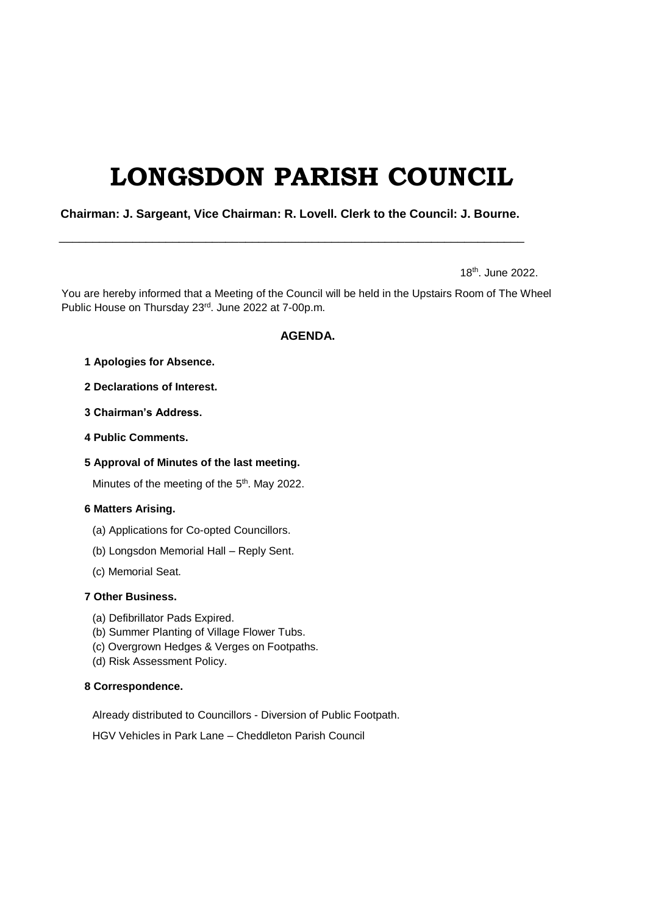# **LONGSDON PARISH COUNCIL**

 **Chairman: J. Sargeant, Vice Chairman: R. Lovell. Clerk to the Council: J. Bourne.**

\_\_\_\_\_\_\_\_\_\_\_\_\_\_\_\_\_\_\_\_\_\_\_\_\_\_\_\_\_\_\_\_\_\_\_\_\_\_\_\_\_\_\_\_\_\_\_\_\_\_\_\_\_\_\_\_\_\_\_\_\_\_\_\_\_\_\_\_\_\_

18th. June 2022.

You are hereby informed that a Meeting of the Council will be held in the Upstairs Room of The Wheel Public House on Thursday 23rd. June 2022 at 7-00p.m.

## **AGENDA.**

- **1 Apologies for Absence.**
- **2 Declarations of Interest.**
- **3 Chairman's Address.**
- **4 Public Comments.**

## **5 Approval of Minutes of the last meeting.**

Minutes of the meeting of the 5<sup>th</sup>. May 2022.

#### **6 Matters Arising.**

- (a) Applications for Co-opted Councillors.
- (b) Longsdon Memorial Hall Reply Sent.
- (c) Memorial Seat.

## **7 Other Business.**

- (a) Defibrillator Pads Expired.
- (b) Summer Planting of Village Flower Tubs.
- (c) Overgrown Hedges & Verges on Footpaths.
- (d) Risk Assessment Policy.

#### **8 Correspondence.**

Already distributed to Councillors - Diversion of Public Footpath.

HGV Vehicles in Park Lane – Cheddleton Parish Council